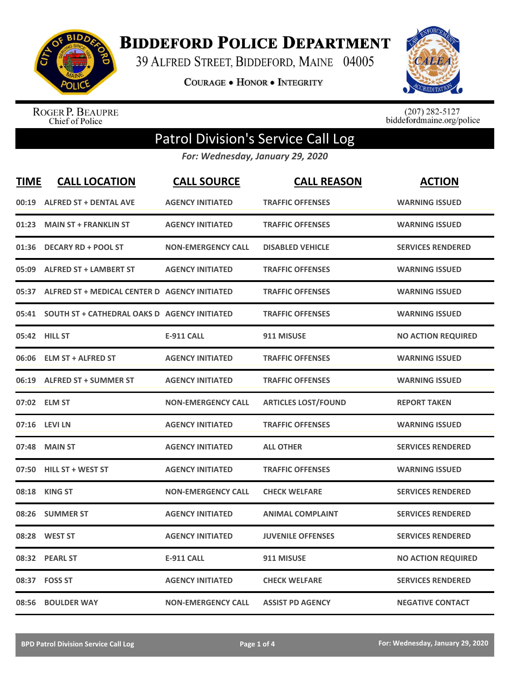

**BIDDEFORD POLICE DEPARTMENT** 

39 ALFRED STREET, BIDDEFORD, MAINE 04005

**COURAGE . HONOR . INTEGRITY** 



ROGER P. BEAUPRE<br>Chief of Police

 $(207)$  282-5127<br>biddefordmaine.org/police

## Patrol Division's Service Call Log

*For: Wednesday, January 29, 2020*

| <b>TIME</b> | <b>CALL LOCATION</b>                          | <b>CALL SOURCE</b>        | <b>CALL REASON</b>         | <b>ACTION</b>             |
|-------------|-----------------------------------------------|---------------------------|----------------------------|---------------------------|
| 00:19       | <b>ALFRED ST + DENTAL AVE</b>                 | <b>AGENCY INITIATED</b>   | <b>TRAFFIC OFFENSES</b>    | <b>WARNING ISSUED</b>     |
| 01:23       | <b>MAIN ST + FRANKLIN ST</b>                  | <b>AGENCY INITIATED</b>   | <b>TRAFFIC OFFENSES</b>    | <b>WARNING ISSUED</b>     |
| 01:36       | <b>DECARY RD + POOL ST</b>                    | <b>NON-EMERGENCY CALL</b> | <b>DISABLED VEHICLE</b>    | <b>SERVICES RENDERED</b>  |
| 05:09       | <b>ALFRED ST + LAMBERT ST</b>                 | <b>AGENCY INITIATED</b>   | <b>TRAFFIC OFFENSES</b>    | <b>WARNING ISSUED</b>     |
| 05:37       | ALFRED ST + MEDICAL CENTER D AGENCY INITIATED |                           | <b>TRAFFIC OFFENSES</b>    | <b>WARNING ISSUED</b>     |
| 05:41       | SOUTH ST + CATHEDRAL OAKS D AGENCY INITIATED  |                           | <b>TRAFFIC OFFENSES</b>    | <b>WARNING ISSUED</b>     |
|             | 05:42 HILL ST                                 | <b>E-911 CALL</b>         | 911 MISUSE                 | <b>NO ACTION REQUIRED</b> |
| 06:06       | <b>ELM ST + ALFRED ST</b>                     | <b>AGENCY INITIATED</b>   | <b>TRAFFIC OFFENSES</b>    | <b>WARNING ISSUED</b>     |
| 06:19       | <b>ALFRED ST + SUMMER ST</b>                  | <b>AGENCY INITIATED</b>   | <b>TRAFFIC OFFENSES</b>    | <b>WARNING ISSUED</b>     |
|             | 07:02 ELM ST                                  | <b>NON-EMERGENCY CALL</b> | <b>ARTICLES LOST/FOUND</b> | <b>REPORT TAKEN</b>       |
|             | 07:16 LEVI LN                                 | <b>AGENCY INITIATED</b>   | <b>TRAFFIC OFFENSES</b>    | <b>WARNING ISSUED</b>     |
| 07:48       | <b>MAIN ST</b>                                | <b>AGENCY INITIATED</b>   | <b>ALL OTHER</b>           | <b>SERVICES RENDERED</b>  |
| 07:50       | <b>HILL ST + WEST ST</b>                      | <b>AGENCY INITIATED</b>   | <b>TRAFFIC OFFENSES</b>    | <b>WARNING ISSUED</b>     |
| 08:18       | <b>KING ST</b>                                | <b>NON-EMERGENCY CALL</b> | <b>CHECK WELFARE</b>       | <b>SERVICES RENDERED</b>  |
| 08:26       | <b>SUMMER ST</b>                              | <b>AGENCY INITIATED</b>   | <b>ANIMAL COMPLAINT</b>    | <b>SERVICES RENDERED</b>  |
| 08:28       | <b>WEST ST</b>                                | <b>AGENCY INITIATED</b>   | <b>JUVENILE OFFENSES</b>   | <b>SERVICES RENDERED</b>  |
| 08:32       | <b>PEARL ST</b>                               | <b>E-911 CALL</b>         | 911 MISUSE                 | <b>NO ACTION REQUIRED</b> |
|             | 08:37 FOSS ST                                 | <b>AGENCY INITIATED</b>   | <b>CHECK WELFARE</b>       | <b>SERVICES RENDERED</b>  |
| 08:56       | <b>BOULDER WAY</b>                            | <b>NON-EMERGENCY CALL</b> | <b>ASSIST PD AGENCY</b>    | <b>NEGATIVE CONTACT</b>   |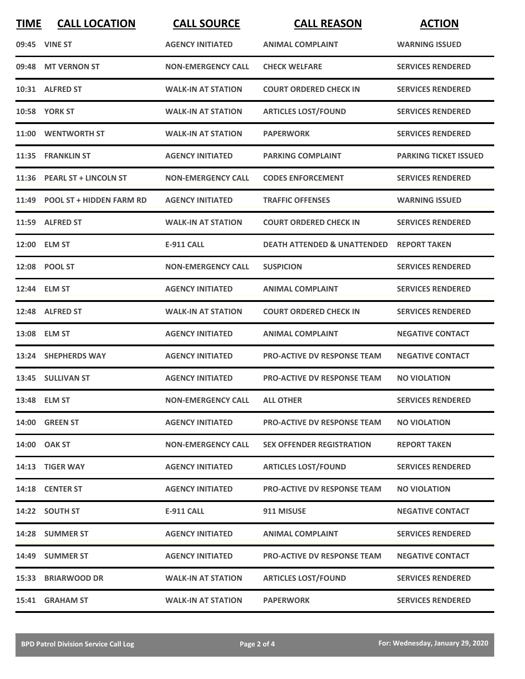| <b>TIME</b> | <b>CALL LOCATION</b>           | <b>CALL SOURCE</b>        | <b>CALL REASON</b>                     | <b>ACTION</b>                |
|-------------|--------------------------------|---------------------------|----------------------------------------|------------------------------|
|             | 09:45 VINE ST                  | <b>AGENCY INITIATED</b>   | <b>ANIMAL COMPLAINT</b>                | <b>WARNING ISSUED</b>        |
| 09:48       | <b>MT VERNON ST</b>            | <b>NON-EMERGENCY CALL</b> | <b>CHECK WELFARE</b>                   | <b>SERVICES RENDERED</b>     |
|             | 10:31 ALFRED ST                | <b>WALK-IN AT STATION</b> | <b>COURT ORDERED CHECK IN</b>          | <b>SERVICES RENDERED</b>     |
|             | <b>10:58 YORK ST</b>           | <b>WALK-IN AT STATION</b> | <b>ARTICLES LOST/FOUND</b>             | <b>SERVICES RENDERED</b>     |
|             | 11:00 WENTWORTH ST             | <b>WALK-IN AT STATION</b> | <b>PAPERWORK</b>                       | <b>SERVICES RENDERED</b>     |
|             | 11:35 FRANKLIN ST              | <b>AGENCY INITIATED</b>   | <b>PARKING COMPLAINT</b>               | <b>PARKING TICKET ISSUED</b> |
|             | 11:36 PEARL ST + LINCOLN ST    | <b>NON-EMERGENCY CALL</b> | <b>CODES ENFORCEMENT</b>               | <b>SERVICES RENDERED</b>     |
|             | 11:49 POOL ST + HIDDEN FARM RD | <b>AGENCY INITIATED</b>   | <b>TRAFFIC OFFENSES</b>                | <b>WARNING ISSUED</b>        |
|             | 11:59 ALFRED ST                | <b>WALK-IN AT STATION</b> | <b>COURT ORDERED CHECK IN</b>          | <b>SERVICES RENDERED</b>     |
|             | 12:00 ELM ST                   | E-911 CALL                | <b>DEATH ATTENDED &amp; UNATTENDED</b> | <b>REPORT TAKEN</b>          |
|             | 12:08 POOL ST                  | <b>NON-EMERGENCY CALL</b> | <b>SUSPICION</b>                       | <b>SERVICES RENDERED</b>     |
|             | 12:44 ELM ST                   | <b>AGENCY INITIATED</b>   | <b>ANIMAL COMPLAINT</b>                | <b>SERVICES RENDERED</b>     |
|             | 12:48 ALFRED ST                | <b>WALK-IN AT STATION</b> | <b>COURT ORDERED CHECK IN</b>          | <b>SERVICES RENDERED</b>     |
|             | 13:08 ELM ST                   | <b>AGENCY INITIATED</b>   | <b>ANIMAL COMPLAINT</b>                | <b>NEGATIVE CONTACT</b>      |
|             | 13:24 SHEPHERDS WAY            | <b>AGENCY INITIATED</b>   | <b>PRO-ACTIVE DV RESPONSE TEAM</b>     | <b>NEGATIVE CONTACT</b>      |
|             | 13:45 SULLIVAN ST              | <b>AGENCY INITIATED</b>   | <b>PRO-ACTIVE DV RESPONSE TEAM</b>     | <b>NO VIOLATION</b>          |
|             | 13:48 ELM ST                   | <b>NON-EMERGENCY CALL</b> | <b>ALL OTHER</b>                       | <b>SERVICES RENDERED</b>     |
|             | 14:00 GREEN ST                 | <b>AGENCY INITIATED</b>   | <b>PRO-ACTIVE DV RESPONSE TEAM</b>     | <b>NO VIOLATION</b>          |
|             | 14:00 OAK ST                   | <b>NON-EMERGENCY CALL</b> | <b>SEX OFFENDER REGISTRATION</b>       | <b>REPORT TAKEN</b>          |
|             | 14:13 TIGER WAY                | <b>AGENCY INITIATED</b>   | <b>ARTICLES LOST/FOUND</b>             | <b>SERVICES RENDERED</b>     |
|             | 14:18 CENTER ST                | <b>AGENCY INITIATED</b>   | <b>PRO-ACTIVE DV RESPONSE TEAM</b>     | <b>NO VIOLATION</b>          |
|             | 14:22 SOUTH ST                 | <b>E-911 CALL</b>         | 911 MISUSE                             | <b>NEGATIVE CONTACT</b>      |
|             | 14:28 SUMMER ST                | <b>AGENCY INITIATED</b>   | <b>ANIMAL COMPLAINT</b>                | <b>SERVICES RENDERED</b>     |
|             | 14:49 SUMMER ST                | <b>AGENCY INITIATED</b>   | <b>PRO-ACTIVE DV RESPONSE TEAM</b>     | <b>NEGATIVE CONTACT</b>      |
|             | 15:33 BRIARWOOD DR             | <b>WALK-IN AT STATION</b> | <b>ARTICLES LOST/FOUND</b>             | <b>SERVICES RENDERED</b>     |
|             | 15:41 GRAHAM ST                | <b>WALK-IN AT STATION</b> | <b>PAPERWORK</b>                       | <b>SERVICES RENDERED</b>     |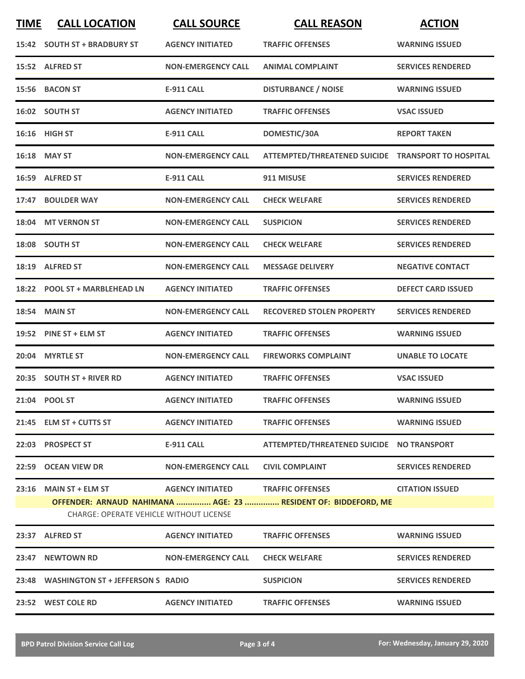| <b>TIME</b> | <b>CALL LOCATION</b>                           | <b>CALL SOURCE</b>        | <b>CALL REASON</b>                                             | <b>ACTION</b>             |
|-------------|------------------------------------------------|---------------------------|----------------------------------------------------------------|---------------------------|
|             | 15:42 SOUTH ST + BRADBURY ST                   | <b>AGENCY INITIATED</b>   | <b>TRAFFIC OFFENSES</b>                                        | <b>WARNING ISSUED</b>     |
|             | 15:52 ALFRED ST                                | <b>NON-EMERGENCY CALL</b> | <b>ANIMAL COMPLAINT</b>                                        | <b>SERVICES RENDERED</b>  |
|             | 15:56 BACON ST                                 | <b>E-911 CALL</b>         | <b>DISTURBANCE / NOISE</b>                                     | <b>WARNING ISSUED</b>     |
|             | 16:02 SOUTH ST                                 | <b>AGENCY INITIATED</b>   | <b>TRAFFIC OFFENSES</b>                                        | <b>VSAC ISSUED</b>        |
|             | <b>16:16 HIGH ST</b>                           | <b>E-911 CALL</b>         | DOMESTIC/30A                                                   | <b>REPORT TAKEN</b>       |
|             | 16:18 MAY ST                                   | <b>NON-EMERGENCY CALL</b> | ATTEMPTED/THREATENED SUICIDE TRANSPORT TO HOSPITAL             |                           |
|             | 16:59 ALFRED ST                                | <b>E-911 CALL</b>         | 911 MISUSE                                                     | <b>SERVICES RENDERED</b>  |
|             | 17:47 BOULDER WAY                              | <b>NON-EMERGENCY CALL</b> | <b>CHECK WELFARE</b>                                           | <b>SERVICES RENDERED</b>  |
|             | 18:04 MT VERNON ST                             | <b>NON-EMERGENCY CALL</b> | <b>SUSPICION</b>                                               | <b>SERVICES RENDERED</b>  |
|             | 18:08 SOUTH ST                                 | <b>NON-EMERGENCY CALL</b> | <b>CHECK WELFARE</b>                                           | <b>SERVICES RENDERED</b>  |
|             | 18:19 ALFRED ST                                | <b>NON-EMERGENCY CALL</b> | <b>MESSAGE DELIVERY</b>                                        | <b>NEGATIVE CONTACT</b>   |
|             | 18:22 POOL ST + MARBLEHEAD LN                  | <b>AGENCY INITIATED</b>   | <b>TRAFFIC OFFENSES</b>                                        | <b>DEFECT CARD ISSUED</b> |
| 18:54       | <b>MAIN ST</b>                                 | <b>NON-EMERGENCY CALL</b> | <b>RECOVERED STOLEN PROPERTY</b>                               | <b>SERVICES RENDERED</b>  |
|             | 19:52 PINE ST + ELM ST                         | <b>AGENCY INITIATED</b>   | <b>TRAFFIC OFFENSES</b>                                        | <b>WARNING ISSUED</b>     |
| 20:04       | <b>MYRTLE ST</b>                               | <b>NON-EMERGENCY CALL</b> | <b>FIREWORKS COMPLAINT</b>                                     | <b>UNABLE TO LOCATE</b>   |
|             | 20:35 SOUTH ST + RIVER RD                      | <b>AGENCY INITIATED</b>   | <b>TRAFFIC OFFENSES</b>                                        | <b>VSAC ISSUED</b>        |
|             | 21:04 POOL ST                                  | <b>AGENCY INITIATED</b>   | <b>TRAFFIC OFFENSES</b>                                        | <b>WARNING ISSUED</b>     |
|             | 21:45 ELM ST + CUTTS ST                        | <b>AGENCY INITIATED</b>   | <b>TRAFFIC OFFENSES</b>                                        | <b>WARNING ISSUED</b>     |
|             | 22:03 PROSPECT ST                              | E-911 CALL                | ATTEMPTED/THREATENED SUICIDE NO TRANSPORT                      |                           |
|             | 22:59 OCEAN VIEW DR                            |                           | NON-EMERGENCY CALL CIVIL COMPLAINT                             | <b>SERVICES RENDERED</b>  |
|             | <b>CHARGE: OPERATE VEHICLE WITHOUT LICENSE</b> |                           | OFFENDER: ARNAUD NAHIMANA  AGE: 23  RESIDENT OF: BIDDEFORD, ME | <b>CITATION ISSUED</b>    |
|             | 23:37 ALFRED ST                                | <b>AGENCY INITIATED</b>   | <b>TRAFFIC OFFENSES</b>                                        | <b>WARNING ISSUED</b>     |
|             | 23:47 NEWTOWN RD NON-EMERGENCY CALL            |                           | <b>CHECK WELFARE</b>                                           | <b>SERVICES RENDERED</b>  |
|             | 23:48 WASHINGTON ST + JEFFERSON S RADIO        |                           | <b>SUSPICION</b>                                               | <b>SERVICES RENDERED</b>  |
|             | 23:52 WEST COLE RD                             | <b>AGENCY INITIATED</b>   | <b>TRAFFIC OFFENSES</b>                                        | <b>WARNING ISSUED</b>     |